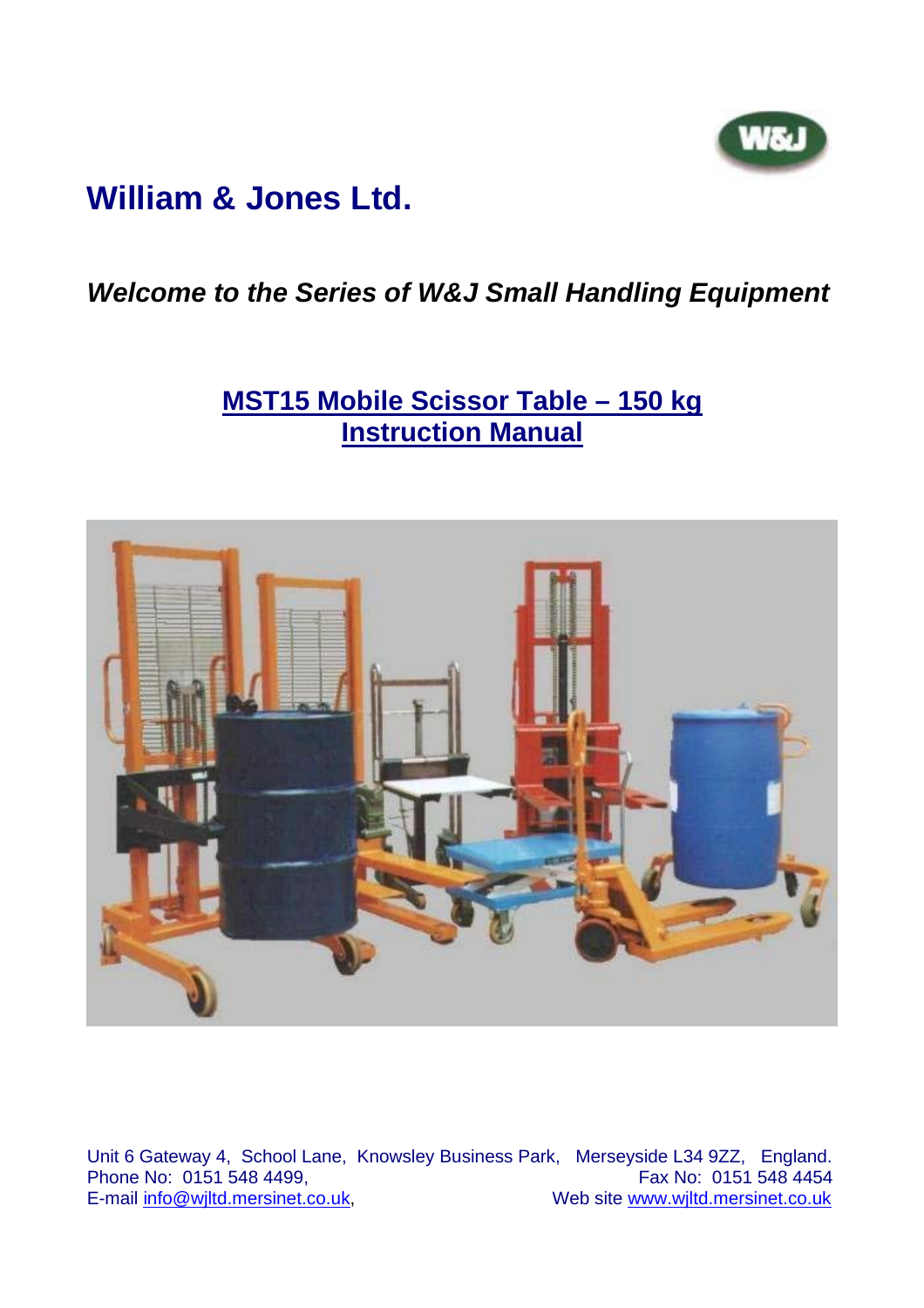

# **William & Jones Ltd.**

### *Welcome to the Series of W&J Small Handling Equipment*

## **MST15 Mobile Scissor Table – 150 kg Instruction Manual**



Unit 6 Gateway 4, School Lane, Knowsley Business Park, Merseyside L34 9ZZ, England. Phone No:  $0151$  548 4499,<br>E-mail info@wiltd.mersinet.co.uk, Web site www.wjltd.mersinet.co.uk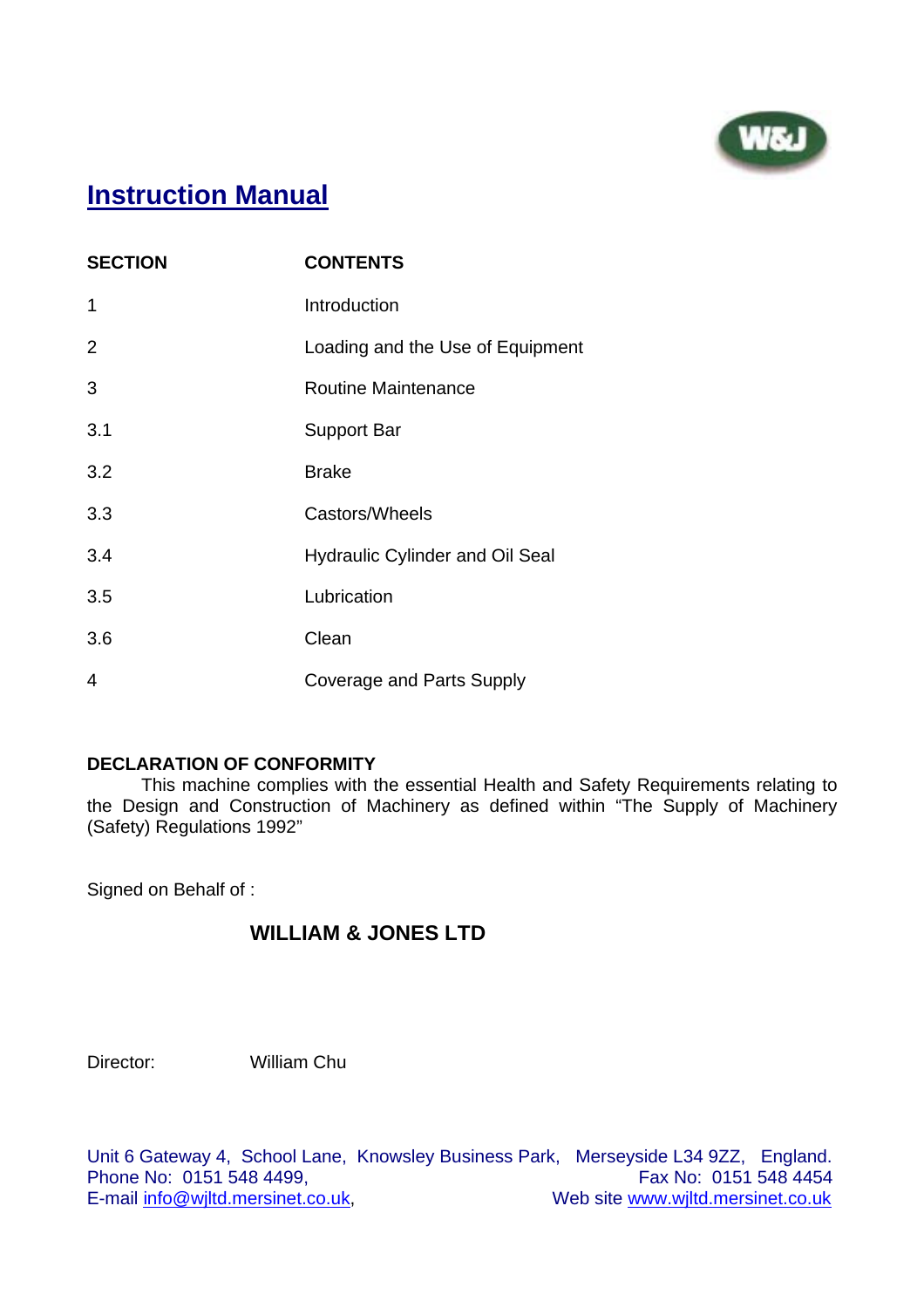

## **Instruction Manual**

| <b>SECTION</b> | <b>CONTENTS</b>                        |
|----------------|----------------------------------------|
| 1              | Introduction                           |
| 2              | Loading and the Use of Equipment       |
| 3              | <b>Routine Maintenance</b>             |
| 3.1            | Support Bar                            |
| 3.2            | <b>Brake</b>                           |
| 3.3            | Castors/Wheels                         |
| 3.4            | <b>Hydraulic Cylinder and Oil Seal</b> |
| 3.5            | Lubrication                            |
| 3.6            | Clean                                  |
| 4              | Coverage and Parts Supply              |

#### **DECLARATION OF CONFORMITY**

This machine complies with the essential Health and Safety Requirements relating to the Design and Construction of Machinery as defined within "The Supply of Machinery (Safety) Regulations 1992"

Signed on Behalf of :

#### **WILLIAM & JONES LTD**

Director: William Chu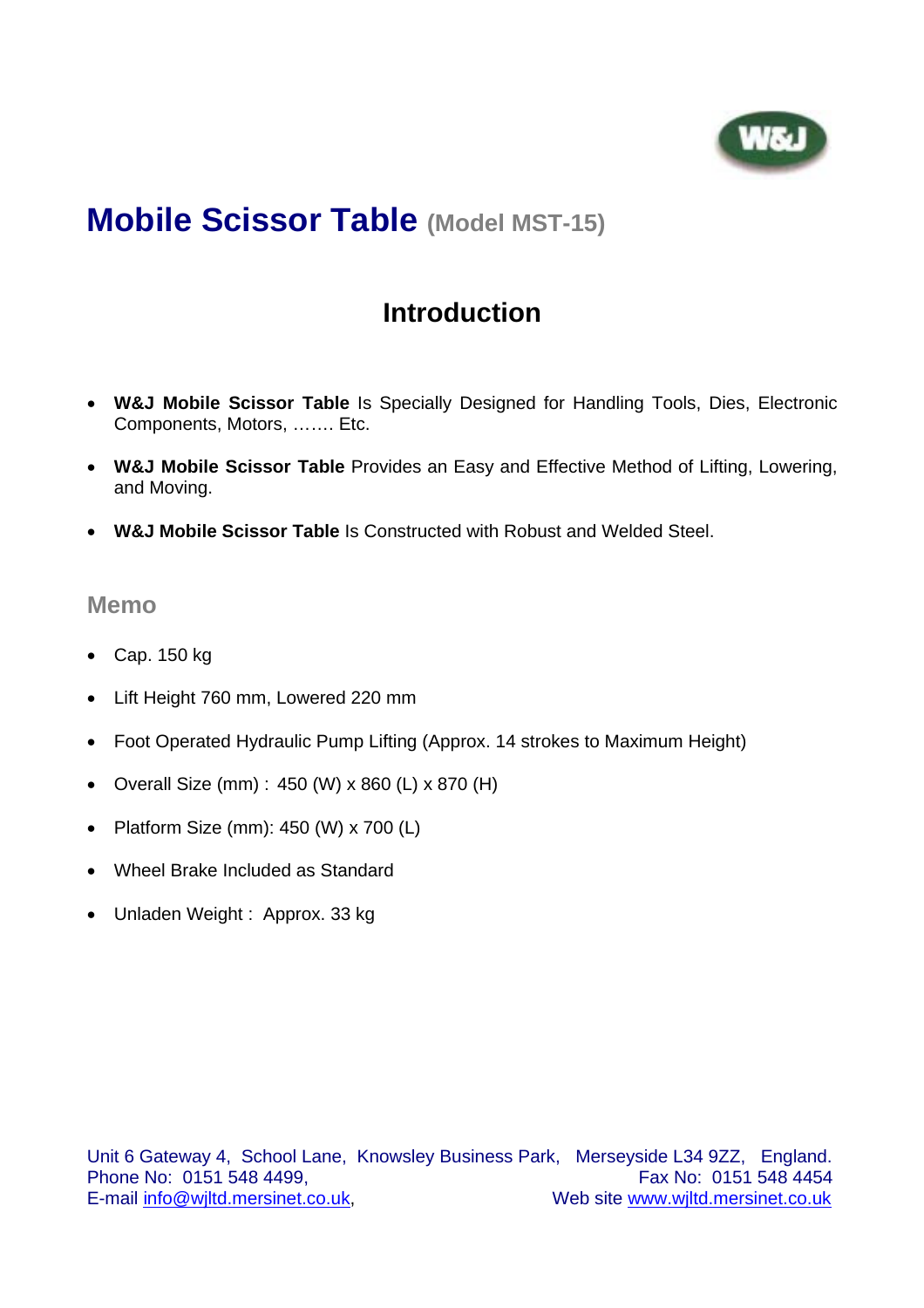

# **Mobile Scissor Table (Model MST-15)**

## **Introduction**

- **W&J Mobile Scissor Table** Is Specially Designed for Handling Tools, Dies, Electronic Components, Motors, ……. Etc.
- **W&J Mobile Scissor Table** Provides an Easy and Effective Method of Lifting, Lowering, and Moving.
- **W&J Mobile Scissor Table** Is Constructed with Robust and Welded Steel.

#### **Memo**

- Cap. 150 kg
- Lift Height 760 mm, Lowered 220 mm
- Foot Operated Hydraulic Pump Lifting (Approx. 14 strokes to Maximum Height)
- Overall Size (mm) : 450 (W) x 860 (L) x 870 (H)
- Platform Size (mm): 450 (W) x 700 (L)
- Wheel Brake Included as Standard
- Unladen Weight : Approx. 33 kg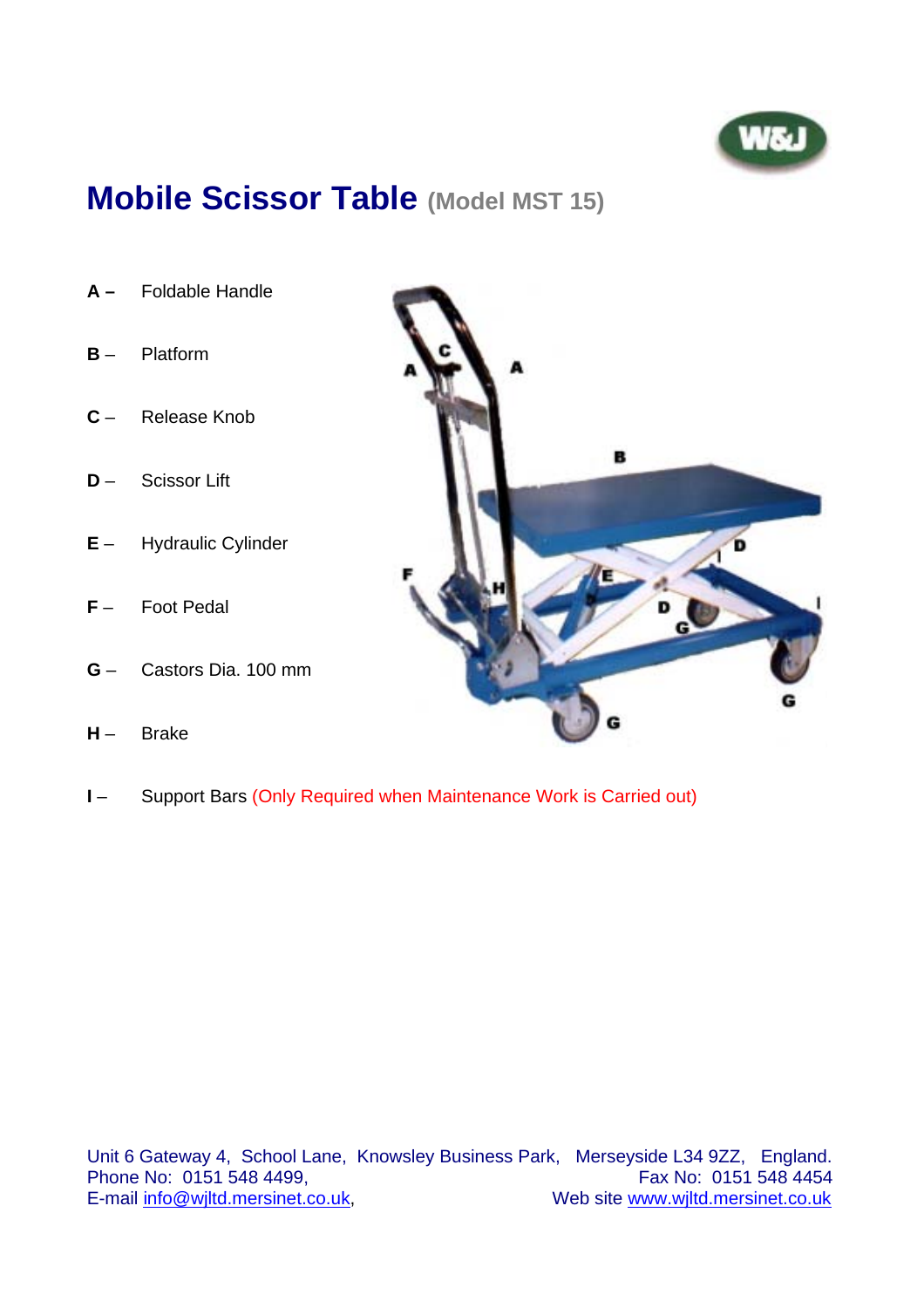

# **Mobile Scissor Table (Model MST 15)**

- **A** Foldable Handle
- **B** Platform
- **C** Release Knob
- **D**  Scissor Lift
- **E** Hydraulic Cylinder
- **F** Foot Pedal
- **G** Castors Dia. 100 mm
- **H** Brake



**I** – Support Bars (Only Required when Maintenance Work is Carried out)

Unit 6 Gateway 4, School Lane, Knowsley Business Park, Merseyside L34 9ZZ, England. Phone No: 0151 548 4499,<br>E-mail info@wjltd.mersinet.co.uk, Web site www.wjltd.mersinet.co.uk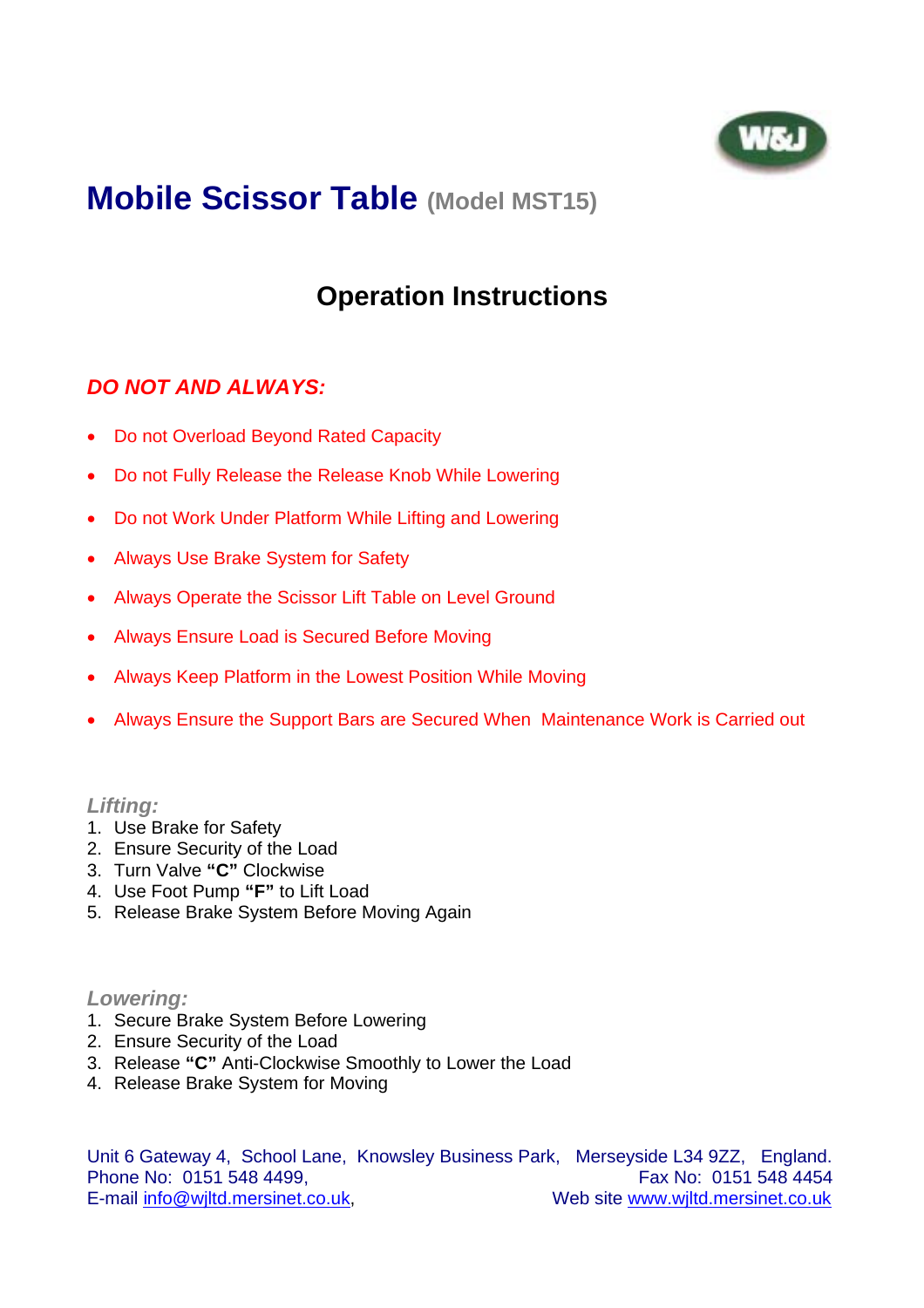

# **Mobile Scissor Table (Model MST15)**

## **Operation Instructions**

### *DO NOT AND ALWAYS:*

- Do not Overload Beyond Rated Capacity
- Do not Fully Release the Release Knob While Lowering
- Do not Work Under Platform While Lifting and Lowering
- Always Use Brake System for Safety
- Always Operate the Scissor Lift Table on Level Ground
- Always Ensure Load is Secured Before Moving
- Always Keep Platform in the Lowest Position While Moving
- Always Ensure the Support Bars are Secured When Maintenance Work is Carried out

#### *Lifting:*

- 1. Use Brake for Safety
- 2. Ensure Security of the Load
- 3. Turn Valve **"C"** Clockwise
- 4. Use Foot Pump **"F"** to Lift Load
- 5. Release Brake System Before Moving Again

#### *Lowering:*

- 1. Secure Brake System Before Lowering
- 2. Ensure Security of the Load
- 3. Release **"C"** Anti-Clockwise Smoothly to Lower the Load
- 4. Release Brake System for Moving

Unit 6 Gateway 4, School Lane, Knowsley Business Park, Merseyside L34 9ZZ, England. Phone No: 0151 548 4499, **Fax No: 0151 548 4454** E-mail info@wjltd.mersinet.co.uk, Web site www.wjltd.mersinet.co.uk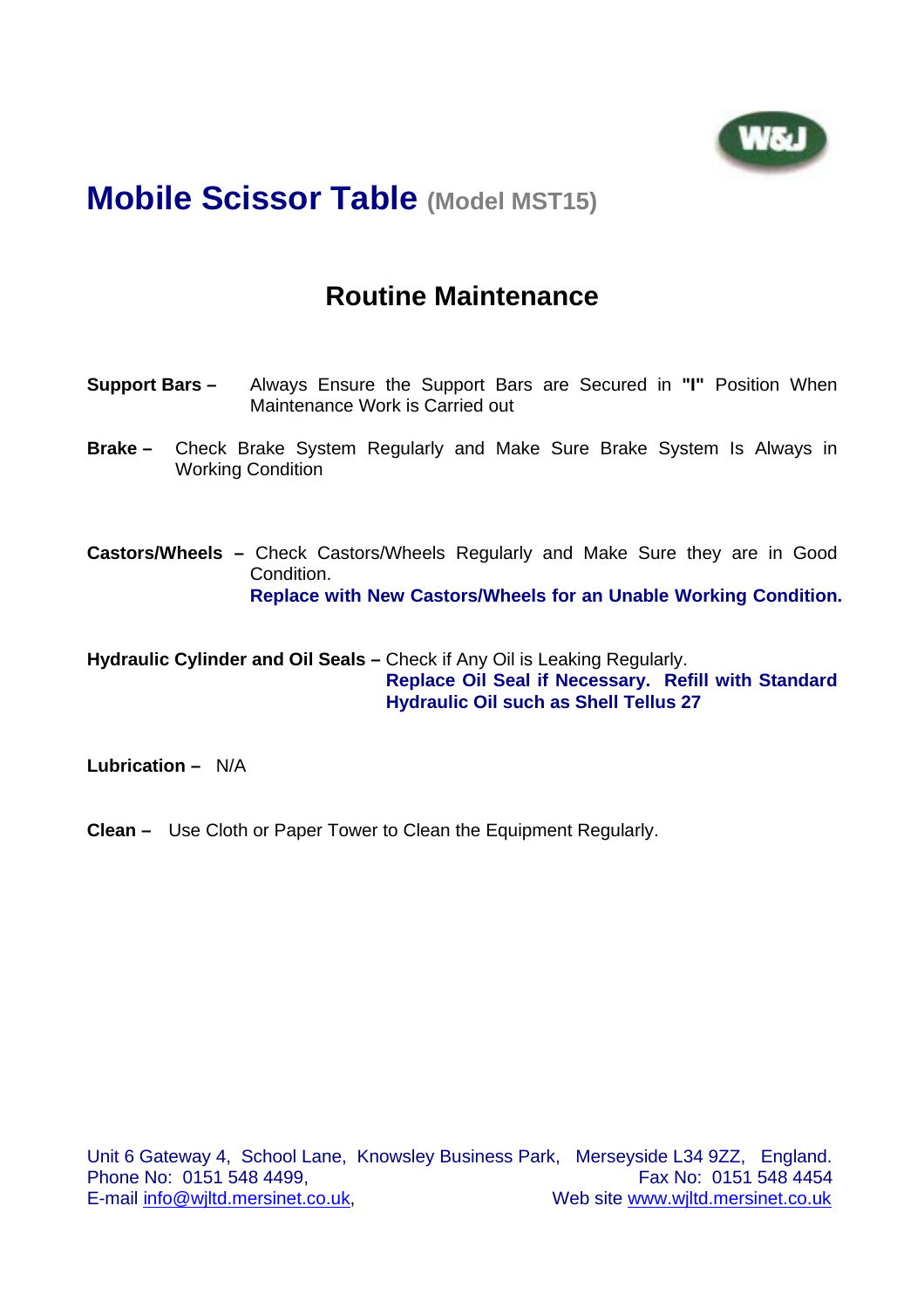

## **Mobile Scissor Table (Model MST15)**

### **Routine Maintenance**

- **Support Bars –** Always Ensure the Support Bars are Secured in **"I"** Position When Maintenance Work is Carried out
- **Brake –** Check Brake System Regularly and Make Sure Brake System Is Always in Working Condition
- **Castors/Wheels** Check Castors/Wheels Regularly and Make Sure they are in Good Condition. **Replace with New Castors/Wheels for an Unable Working Condition.**

**Hydraulic Cylinder and Oil Seals –** Check if Any Oil is Leaking Regularly. **Replace Oil Seal if Necessary. Refill with Standard Hydraulic Oil such as Shell Tellus 27** 

**Lubrication –** N/A

**Clean –** Use Cloth or Paper Tower to Clean the Equipment Regularly.